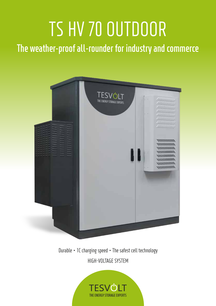# TS HV 70 OUTDOOR

The weather-proof all-rounder for industry and commerce



Durable - 1C charging speed - The safest cell technology HIGH-VOLTAGE SYSTEM

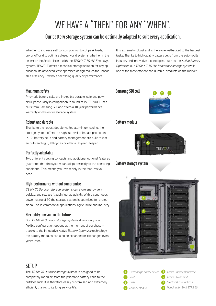# WE HAVE A "THEN" FOR ANY "WHEN".

## **Our battery storage system can be optimally adapted to suit every application.**

Whether to increase self consumption or to cut peak loads, on- or off-grid to optimise diesel hybrid systems, whether in the desert or the Arctic circle – with the *TESVOLT TS HV 70 storage system*, TESVOLT offers a technical storage solution for any application. Its advanced, cost-optimised design makes for unbeatable efficiency – without sacrificing quality or performance.

It is extremely robust and is therefore well-suited to the hardest tasks. Thanks to high-quality battery cells from the automobile industry and innovative technologies, such as the *Active Battery Optimizer*, our *TESVOLT TS HV 70 outdoor storage system* is one of the most efficient and durable products on the market.

#### **Maximum safety**

Prismatic battery cells are incredibly durable, safe and powerful, particularly in comparison to round cells. TESVOLT uses cells from Samsung SDI and offers a 10-year performance warranty on the entire storage system.

#### **Robust and durable**

Thanks to the robust double-walled aluminium casing, the storage system offers the highest level of impact protection, IK 10. Battery cells and battery management are built to last an outstanding 8,000 cycles or offer a 30-year lifespan.

#### **Perfectly adaptable**

Two different cooling concepts and additional optional features guarantee that the system can adapt perfectly to the operating conditions. This means you invest only in the features you need.

#### **High-performance without compromise**

*TS HV 70 Outdoor storage systems* can store energy very quickly, and release it again just as quickly. With a continuous power rating of 1C the storage system is optimised for professional use in commercial applications, agriculture and industry.

#### **Flexibility now and in the future**

Our *TS HV 70 Outdoor storage systems* do not only offer flexible configuration options at the moment of purchase – thanks to the innovative *Active Battery Optimizer* technology, the battery modules can also be expanded or exchanged even years later.

### **SETIIP**

The *TS HV 70 Outdoor storage system* is designed to be completely modular, from the prismatic battery cells to the outdoor rack. It is therefore easily customised and extremely efficient, thanks to its long service life.



#### **Battery storage system**



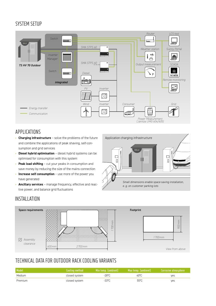# SYSTEM SETUP



# APPLICATIONS

- **Charging infrastructure**  solve the problems of the future and combine the applications of peak shaving, self-consumption and grid services
- **Diesel hybrid optimisation** diesel hybrid systems can be optimised for consumption with this system
- **Peak load shifting** cut your peaks in consumption and save money by reducing the size of the mains connection
- **Increase self consumption** use more of the power you have generated
- **Ancillary services** manage frequency, effective and reactive power, and balance grid fluctuations



# INSTALLATION



# TECHNICAL DATA FOR OUTDOOR RACK COOLING VARIANTS

| Model   | Cooling method | Min temp. (ambient) | Max temp. (ambient) | Corrosive atmosphere |
|---------|----------------|---------------------|---------------------|----------------------|
| Medium  | closed system  | -28°C               | 40°C                | ves                  |
| Premium | closed system  | -33°C               | 55°C                | ves                  |